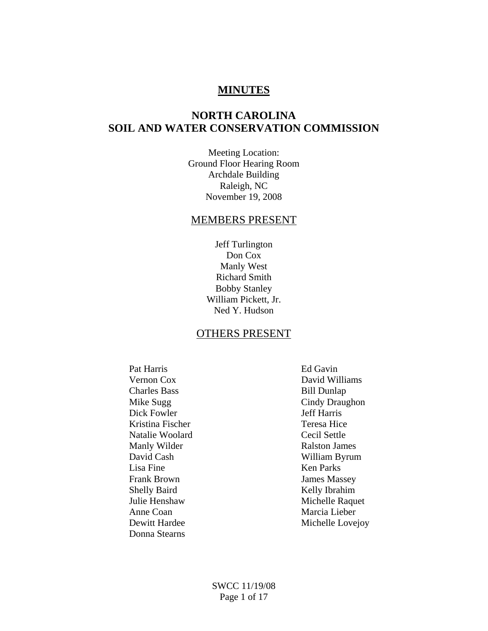# **MINUTES**

# **NORTH CAROLINA SOIL AND WATER CONSERVATION COMMISSION**

Meeting Location: Ground Floor Hearing Room Archdale Building Raleigh, NC November 19, 2008

#### MEMBERS PRESENT

Jeff Turlington Don Cox Manly West Richard Smith Bobby Stanley William Pickett, Jr. Ned Y. Hudson

# OTHERS PRESENT

Pat Harris Ed Gavin Charles Bass Bill Dunlap Dick Fowler Kristina Fischer Teresa Hice Natalie Woolard Cecil Settle Manly Wilder **Ralston James** Lisa Fine Ken Parks Frank Brown James Massey Shelly Baird Kelly Ibrahim Anne Coan Marcia Lieber Donna Stearns

 Vernon Cox David Williams Mike Sugg<br>
Dick Fowler Suggest Cindy Draughon<br>
Jeff Harris David Cash William Byrum Julie Henshaw Michelle Raquet Dewitt Hardee Michelle Lovejoy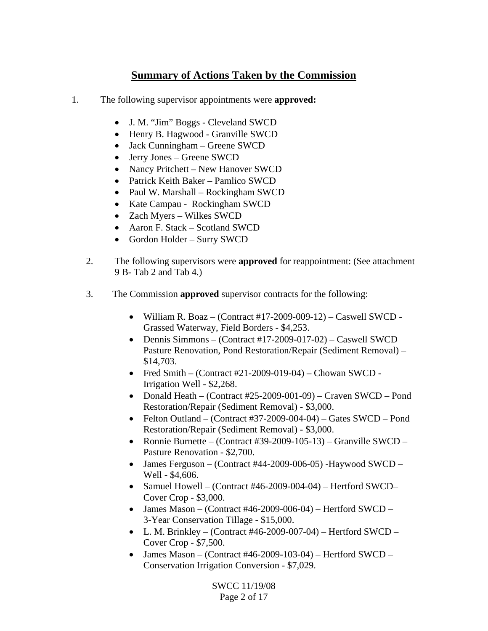# **Summary of Actions Taken by the Commission**

- 1. The following supervisor appointments were **approved:** 
	- J. M. "Jim" Boggs Cleveland SWCD
	- Henry B. Hagwood Granville SWCD
	- Jack Cunningham Greene SWCD
	- Jerry Jones Greene SWCD
	- Nancy Pritchett New Hanover SWCD
	- Patrick Keith Baker Pamlico SWCD
	- Paul W. Marshall Rockingham SWCD
	- Kate Campau Rockingham SWCD
	- Zach Myers Wilkes SWCD
	- Aaron F. Stack Scotland SWCD
	- Gordon Holder Surry SWCD
	- 2. The following supervisors were **approved** for reappointment: (See attachment 9 B- Tab 2 and Tab 4.)
	- 3. The Commission **approved** supervisor contracts for the following:
		- William R. Boaz (Contract #17-2009-009-12) Caswell SWCD Grassed Waterway, Field Borders - \$4,253.
		- Dennis Simmons (Contract #17-2009-017-02) Caswell SWCD Pasture Renovation, Pond Restoration/Repair (Sediment Removal) – \$14,703.
		- Fred Smith (Contract  $#21-2009-019-04$ ) Chowan SWCD -Irrigation Well - \$2,268.
		- Donald Heath (Contract #25-2009-001-09) Craven SWCD Pond Restoration/Repair (Sediment Removal) - \$3,000.
		- Felton Outland (Contract #37-2009-004-04) Gates SWCD Pond Restoration/Repair (Sediment Removal) - \$3,000.
		- Ronnie Burnette (Contract #39-2009-105-13) Granville SWCD Pasture Renovation - \$2,700.
		- James Ferguson (Contract #44-2009-006-05) -Haywood SWCD Well - \$4,606.
		- Samuel Howell (Contract #46-2009-004-04) Hertford SWCD– Cover Crop - \$3,000.
		- James Mason (Contract #46-2009-006-04) Hertford SWCD 3-Year Conservation Tillage - \$15,000.
		- L. M. Brinkley (Contract  $#46-2009-007-04$ ) Hertford SWCD Cover Crop - \$7,500.
		- James Mason (Contract #46-2009-103-04) Hertford SWCD Conservation Irrigation Conversion - \$7,029.

SWCC 11/19/08 Page 2 of 17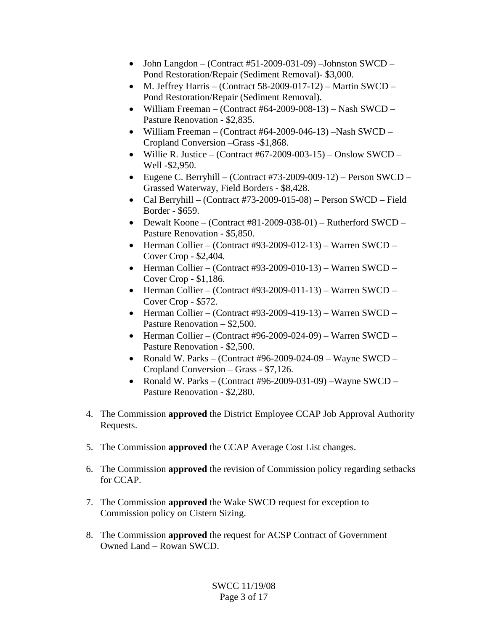- John Langdon (Contract  $#51-2009-031-09$ ) –Johnston SWCD Pond Restoration/Repair (Sediment Removal)- \$3,000.
- M. Jeffrey Harris (Contract 58-2009-017-12) Martin SWCD Pond Restoration/Repair (Sediment Removal).
- William Freeman (Contract #64-2009-008-13) Nash SWCD Pasture Renovation - \$2,835.
- William Freeman (Contract #64-2009-046-13) –Nash SWCD Cropland Conversion –Grass -\$1,868.
- Willie R. Justice (Contract #67-2009-003-15) Onslow SWCD Well -\$2,950.
- Eugene C. Berryhill (Contract #73-2009-009-12) Person SWCD Grassed Waterway, Field Borders - \$8,428.
- Cal Berryhill (Contract #73-2009-015-08) Person SWCD Field Border - \$659.
- Dewalt Koone (Contract #81-2009-038-01) Rutherford SWCD Pasture Renovation - \$5,850.
- Herman Collier (Contract #93-2009-012-13) Warren SWCD Cover Crop - \$2,404.
- Herman Collier (Contract #93-2009-010-13) Warren SWCD Cover Crop - \$1,186.
- Herman Collier (Contract #93-2009-011-13) Warren SWCD Cover Crop - \$572.
- Herman Collier (Contract #93-2009-419-13) Warren SWCD Pasture Renovation – \$2,500.
- Herman Collier (Contract #96-2009-024-09) Warren SWCD Pasture Renovation - \$2,500.
- Ronald W. Parks (Contract #96-2009-024-09 Wayne SWCD Cropland Conversion – Grass - \$7,126.
- Ronald W. Parks (Contract #96-2009-031-09) Wayne SWCD Pasture Renovation - \$2,280.
- 4. The Commission **approved** the District Employee CCAP Job Approval Authority Requests.
- 5. The Commission **approved** the CCAP Average Cost List changes.
- 6. The Commission **approved** the revision of Commission policy regarding setbacks for CCAP.
- 7. The Commission **approved** the Wake SWCD request for exception to Commission policy on Cistern Sizing.
- 8. The Commission **approved** the request for ACSP Contract of Government Owned Land – Rowan SWCD.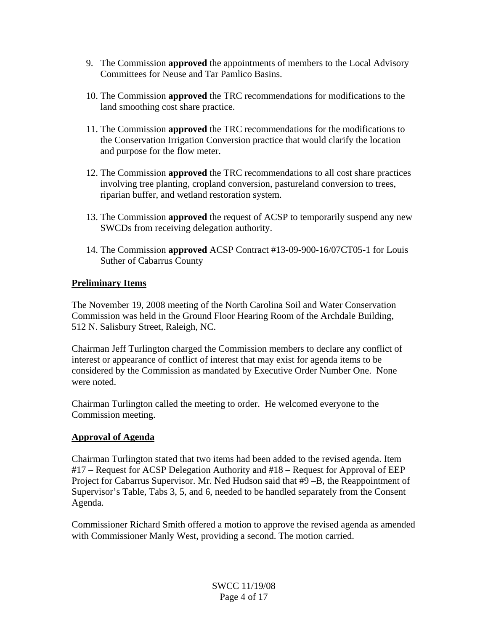- 9. The Commission **approved** the appointments of members to the Local Advisory Committees for Neuse and Tar Pamlico Basins.
- 10. The Commission **approved** the TRC recommendations for modifications to the land smoothing cost share practice.
- 11. The Commission **approved** the TRC recommendations for the modifications to the Conservation Irrigation Conversion practice that would clarify the location and purpose for the flow meter.
- 12. The Commission **approved** the TRC recommendations to all cost share practices involving tree planting, cropland conversion, pastureland conversion to trees, riparian buffer, and wetland restoration system.
- 13. The Commission **approved** the request of ACSP to temporarily suspend any new SWCDs from receiving delegation authority.
- 14. The Commission **approved** ACSP Contract #13-09-900-16/07CT05-1 for Louis Suther of Cabarrus County

## **Preliminary Items**

The November 19, 2008 meeting of the North Carolina Soil and Water Conservation Commission was held in the Ground Floor Hearing Room of the Archdale Building, 512 N. Salisbury Street, Raleigh, NC.

Chairman Jeff Turlington charged the Commission members to declare any conflict of interest or appearance of conflict of interest that may exist for agenda items to be considered by the Commission as mandated by Executive Order Number One. None were noted.

Chairman Turlington called the meeting to order. He welcomed everyone to the Commission meeting.

# **Approval of Agenda**

Chairman Turlington stated that two items had been added to the revised agenda. Item #17 – Request for ACSP Delegation Authority and #18 – Request for Approval of EEP Project for Cabarrus Supervisor. Mr. Ned Hudson said that #9 –B, the Reappointment of Supervisor's Table, Tabs 3, 5, and 6, needed to be handled separately from the Consent Agenda.

Commissioner Richard Smith offered a motion to approve the revised agenda as amended with Commissioner Manly West, providing a second. The motion carried.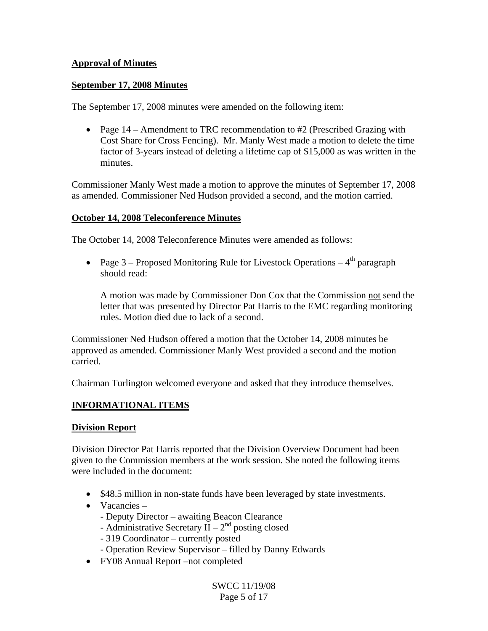## **Approval of Minutes**

## **September 17, 2008 Minutes**

The September 17, 2008 minutes were amended on the following item:

• Page 14 – Amendment to TRC recommendation to #2 (Prescribed Grazing with Cost Share for Cross Fencing). Mr. Manly West made a motion to delete the time factor of 3-years instead of deleting a lifetime cap of \$15,000 as was written in the minutes.

Commissioner Manly West made a motion to approve the minutes of September 17, 2008 as amended. Commissioner Ned Hudson provided a second, and the motion carried.

## **October 14, 2008 Teleconference Minutes**

The October 14, 2008 Teleconference Minutes were amended as follows:

• Page 3 – Proposed Monitoring Rule for Livestock Operations –  $4<sup>th</sup>$  paragraph should read:

A motion was made by Commissioner Don Cox that the Commission not send the letter that was presented by Director Pat Harris to the EMC regarding monitoring rules. Motion died due to lack of a second.

Commissioner Ned Hudson offered a motion that the October 14, 2008 minutes be approved as amended. Commissioner Manly West provided a second and the motion carried.

Chairman Turlington welcomed everyone and asked that they introduce themselves.

## **INFORMATIONAL ITEMS**

## **Division Report**

Division Director Pat Harris reported that the Division Overview Document had been given to the Commission members at the work session. She noted the following items were included in the document:

- \$48.5 million in non-state funds have been leveraged by state investments.
- Vacancies
	- Deputy Director awaiting Beacon Clearance
	- Administrative Secretary II  $2<sup>nd</sup>$  posting closed
	- 319 Coordinator currently posted
	- Operation Review Supervisor filled by Danny Edwards
- FY08 Annual Report –not completed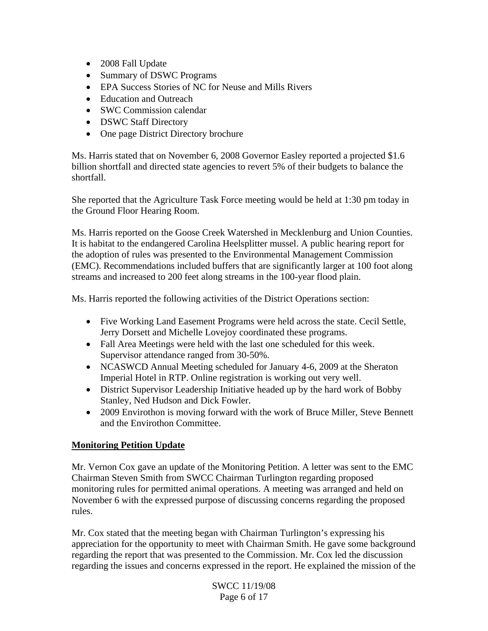- 2008 Fall Update
- Summary of DSWC Programs
- EPA Success Stories of NC for Neuse and Mills Rivers
- Education and Outreach
- SWC Commission calendar
- DSWC Staff Directory
- One page District Directory brochure

Ms. Harris stated that on November 6, 2008 Governor Easley reported a projected \$1.6 billion shortfall and directed state agencies to revert 5% of their budgets to balance the shortfall.

She reported that the Agriculture Task Force meeting would be held at 1:30 pm today in the Ground Floor Hearing Room.

Ms. Harris reported on the Goose Creek Watershed in Mecklenburg and Union Counties. It is habitat to the endangered Carolina Heelsplitter mussel. A public hearing report for the adoption of rules was presented to the Environmental Management Commission (EMC). Recommendations included buffers that are significantly larger at 100 foot along streams and increased to 200 feet along streams in the 100-year flood plain.

Ms. Harris reported the following activities of the District Operations section:

- Five Working Land Easement Programs were held across the state. Cecil Settle, Jerry Dorsett and Michelle Lovejoy coordinated these programs.
- Fall Area Meetings were held with the last one scheduled for this week. Supervisor attendance ranged from 30-50%.
- NCASWCD Annual Meeting scheduled for January 4-6, 2009 at the Sheraton Imperial Hotel in RTP. Online registration is working out very well.
- District Supervisor Leadership Initiative headed up by the hard work of Bobby Stanley, Ned Hudson and Dick Fowler.
- 2009 Envirothon is moving forward with the work of Bruce Miller, Steve Bennett and the Envirothon Committee.

## **Monitoring Petition Update**

Mr. Vernon Cox gave an update of the Monitoring Petition. A letter was sent to the EMC Chairman Steven Smith from SWCC Chairman Turlington regarding proposed monitoring rules for permitted animal operations. A meeting was arranged and held on November 6 with the expressed purpose of discussing concerns regarding the proposed rules.

Mr. Cox stated that the meeting began with Chairman Turlington's expressing his appreciation for the opportunity to meet with Chairman Smith. He gave some background regarding the report that was presented to the Commission. Mr. Cox led the discussion regarding the issues and concerns expressed in the report. He explained the mission of the

> SWCC 11/19/08 Page 6 of 17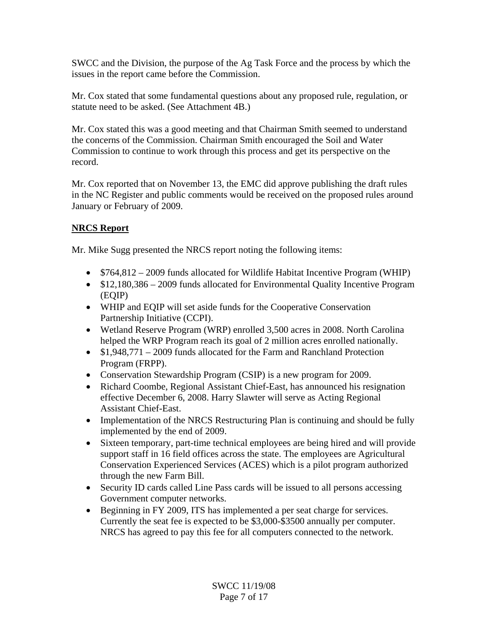SWCC and the Division, the purpose of the Ag Task Force and the process by which the issues in the report came before the Commission.

Mr. Cox stated that some fundamental questions about any proposed rule, regulation, or statute need to be asked. (See Attachment 4B.)

Mr. Cox stated this was a good meeting and that Chairman Smith seemed to understand the concerns of the Commission. Chairman Smith encouraged the Soil and Water Commission to continue to work through this process and get its perspective on the record.

Mr. Cox reported that on November 13, the EMC did approve publishing the draft rules in the NC Register and public comments would be received on the proposed rules around January or February of 2009.

## **NRCS Report**

Mr. Mike Sugg presented the NRCS report noting the following items:

- $$764,812 2009$  funds allocated for Wildlife Habitat Incentive Program (WHIP)
- \$12,180,386 2009 funds allocated for Environmental Quality Incentive Program (EQIP)
- WHIP and EQIP will set aside funds for the Cooperative Conservation Partnership Initiative (CCPI).
- Wetland Reserve Program (WRP) enrolled 3,500 acres in 2008. North Carolina helped the WRP Program reach its goal of 2 million acres enrolled nationally.
- \$1,948,771 2009 funds allocated for the Farm and Ranchland Protection Program (FRPP).
- Conservation Stewardship Program (CSIP) is a new program for 2009.
- Richard Coombe, Regional Assistant Chief-East, has announced his resignation effective December 6, 2008. Harry Slawter will serve as Acting Regional Assistant Chief-East.
- Implementation of the NRCS Restructuring Plan is continuing and should be fully implemented by the end of 2009.
- Sixteen temporary, part-time technical employees are being hired and will provide support staff in 16 field offices across the state. The employees are Agricultural Conservation Experienced Services (ACES) which is a pilot program authorized through the new Farm Bill.
- Security ID cards called Line Pass cards will be issued to all persons accessing Government computer networks.
- Beginning in FY 2009, ITS has implemented a per seat charge for services. Currently the seat fee is expected to be \$3,000-\$3500 annually per computer. NRCS has agreed to pay this fee for all computers connected to the network.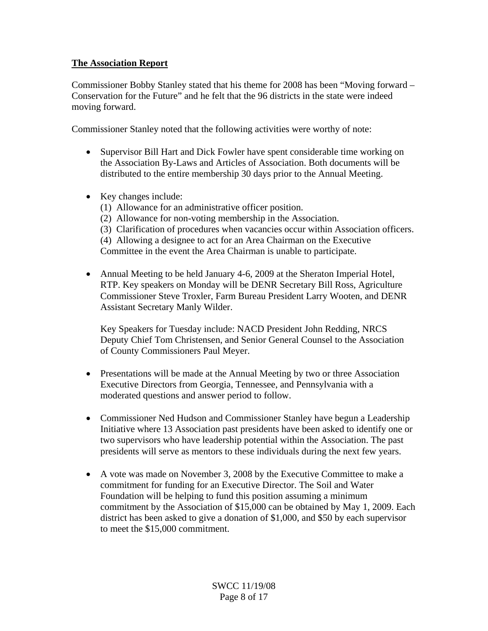## **The Association Report**

Commissioner Bobby Stanley stated that his theme for 2008 has been "Moving forward – Conservation for the Future" and he felt that the 96 districts in the state were indeed moving forward.

Commissioner Stanley noted that the following activities were worthy of note:

- Supervisor Bill Hart and Dick Fowler have spent considerable time working on the Association By-Laws and Articles of Association. Both documents will be distributed to the entire membership 30 days prior to the Annual Meeting.
- Key changes include:
	- (1) Allowance for an administrative officer position.
	- (2) Allowance for non-voting membership in the Association.
	- (3) Clarification of procedures when vacancies occur within Association officers.
	- (4) Allowing a designee to act for an Area Chairman on the Executive

Committee in the event the Area Chairman is unable to participate.

• Annual Meeting to be held January 4-6, 2009 at the Sheraton Imperial Hotel, RTP. Key speakers on Monday will be DENR Secretary Bill Ross, Agriculture Commissioner Steve Troxler, Farm Bureau President Larry Wooten, and DENR Assistant Secretary Manly Wilder.

 Key Speakers for Tuesday include: NACD President John Redding, NRCS Deputy Chief Tom Christensen, and Senior General Counsel to the Association of County Commissioners Paul Meyer.

- Presentations will be made at the Annual Meeting by two or three Association Executive Directors from Georgia, Tennessee, and Pennsylvania with a moderated questions and answer period to follow.
- Commissioner Ned Hudson and Commissioner Stanley have begun a Leadership Initiative where 13 Association past presidents have been asked to identify one or two supervisors who have leadership potential within the Association. The past presidents will serve as mentors to these individuals during the next few years.
- A vote was made on November 3, 2008 by the Executive Committee to make a commitment for funding for an Executive Director. The Soil and Water Foundation will be helping to fund this position assuming a minimum commitment by the Association of \$15,000 can be obtained by May 1, 2009. Each district has been asked to give a donation of \$1,000, and \$50 by each supervisor to meet the \$15,000 commitment.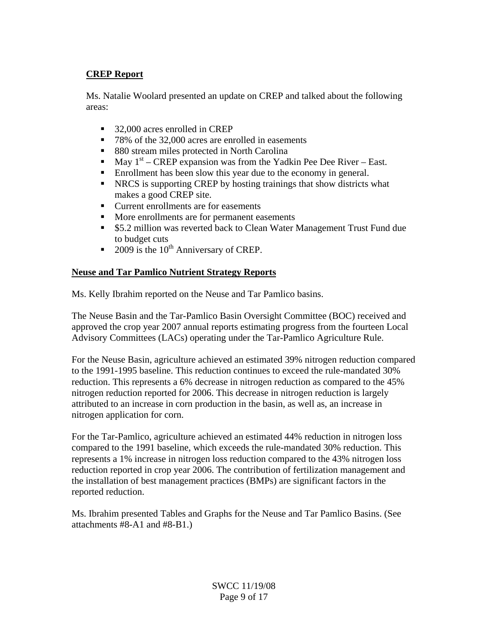## **CREP Report**

Ms. Natalie Woolard presented an update on CREP and talked about the following areas:

- 32,000 acres enrolled in CREP
- 78% of the 32,000 acres are enrolled in easements
- 880 stream miles protected in North Carolina
- May  $1<sup>st</sup>$  CREP expansion was from the Yadkin Pee Dee River East.
- Enrollment has been slow this year due to the economy in general.
- NRCS is supporting CREP by hosting trainings that show districts what makes a good CREP site.
- Current enrollments are for easements
- More enrollments are for permanent easements
- **55.2 million was reverted back to Clean Water Management Trust Fund due** to budget cuts
- 2009 is the  $10^{th}$  Anniversary of CREP.

## **Neuse and Tar Pamlico Nutrient Strategy Reports**

Ms. Kelly Ibrahim reported on the Neuse and Tar Pamlico basins.

The Neuse Basin and the Tar-Pamlico Basin Oversight Committee (BOC) received and approved the crop year 2007 annual reports estimating progress from the fourteen Local Advisory Committees (LACs) operating under the Tar-Pamlico Agriculture Rule.

For the Neuse Basin, agriculture achieved an estimated 39% nitrogen reduction compared to the 1991-1995 baseline. This reduction continues to exceed the rule-mandated 30% reduction. This represents a 6% decrease in nitrogen reduction as compared to the 45% nitrogen reduction reported for 2006. This decrease in nitrogen reduction is largely attributed to an increase in corn production in the basin, as well as, an increase in nitrogen application for corn.

For the Tar-Pamlico, agriculture achieved an estimated 44% reduction in nitrogen loss compared to the 1991 baseline, which exceeds the rule-mandated 30% reduction. This represents a 1% increase in nitrogen loss reduction compared to the 43% nitrogen loss reduction reported in crop year 2006. The contribution of fertilization management and the installation of best management practices (BMPs) are significant factors in the reported reduction.

Ms. Ibrahim presented Tables and Graphs for the Neuse and Tar Pamlico Basins. (See attachments #8-A1 and #8-B1.)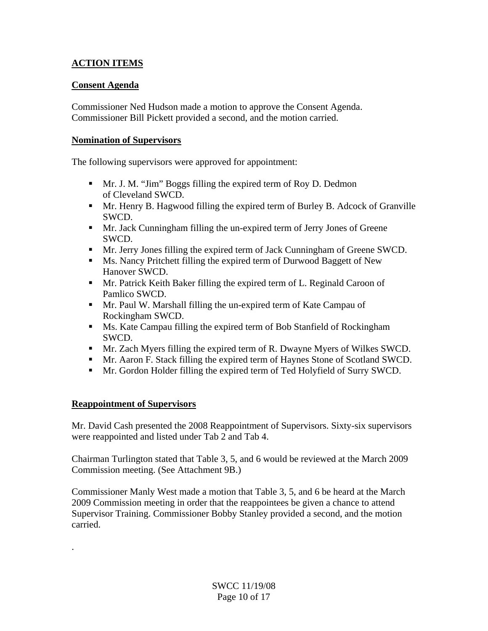# **ACTION ITEMS**

## **Consent Agenda**

Commissioner Ned Hudson made a motion to approve the Consent Agenda. Commissioner Bill Pickett provided a second, and the motion carried.

## **Nomination of Supervisors**

The following supervisors were approved for appointment:

- Mr. J. M. "Jim" Boggs filling the expired term of Roy D. Dedmon of Cleveland SWCD.
- Mr. Henry B. Hagwood filling the expired term of Burley B. Adcock of Granville SWCD.
- Mr. Jack Cunningham filling the un-expired term of Jerry Jones of Greene SWCD.
- Mr. Jerry Jones filling the expired term of Jack Cunningham of Greene SWCD.
- Ms. Nancy Pritchett filling the expired term of Durwood Baggett of New Hanover SWCD.
- Mr. Patrick Keith Baker filling the expired term of L. Reginald Caroon of Pamlico SWCD.
- Mr. Paul W. Marshall filling the un-expired term of Kate Campau of Rockingham SWCD.
- Ms. Kate Campau filling the expired term of Bob Stanfield of Rockingham SWCD.
- **Mr.** Zach Myers filling the expired term of R. Dwayne Myers of Wilkes SWCD.
- Mr. Aaron F. Stack filling the expired term of Haynes Stone of Scotland SWCD.
- Mr. Gordon Holder filling the expired term of Ted Holyfield of Surry SWCD.

# **Reappointment of Supervisors**

.

Mr. David Cash presented the 2008 Reappointment of Supervisors. Sixty-six supervisors were reappointed and listed under Tab 2 and Tab 4.

Chairman Turlington stated that Table 3, 5, and 6 would be reviewed at the March 2009 Commission meeting. (See Attachment 9B.)

Commissioner Manly West made a motion that Table 3, 5, and 6 be heard at the March 2009 Commission meeting in order that the reappointees be given a chance to attend Supervisor Training. Commissioner Bobby Stanley provided a second, and the motion carried.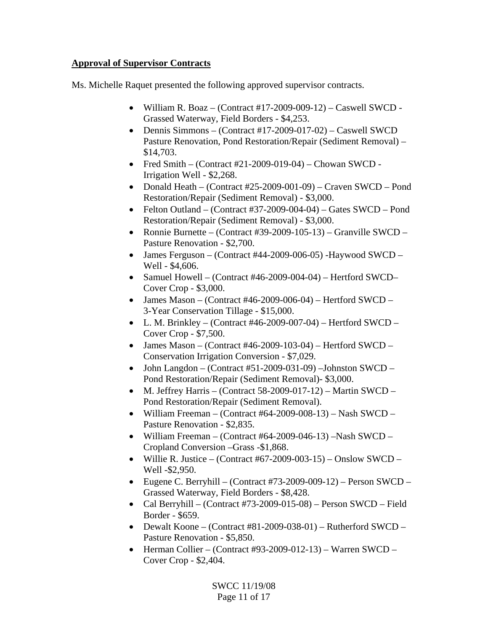## **Approval of Supervisor Contracts**

Ms. Michelle Raquet presented the following approved supervisor contracts.

- William R. Boaz (Contract  $\#17$ -2009-009-12) Caswell SWCD -Grassed Waterway, Field Borders - \$4,253.
- Dennis Simmons (Contract #17-2009-017-02) Caswell SWCD Pasture Renovation, Pond Restoration/Repair (Sediment Removal) – \$14,703.
- Fred Smith (Contract  $#21-2009-019-04$ ) Chowan SWCD -Irrigation Well - \$2,268.
- Donald Heath (Contract #25-2009-001-09) Craven SWCD Pond Restoration/Repair (Sediment Removal) - \$3,000.
- Felton Outland (Contract #37-2009-004-04) Gates SWCD Pond Restoration/Repair (Sediment Removal) - \$3,000.
- Ronnie Burnette (Contract #39-2009-105-13) Granville SWCD Pasture Renovation - \$2,700.
- James Ferguson (Contract #44-2009-006-05) -Haywood SWCD Well - \$4,606.
- Samuel Howell (Contract #46-2009-004-04) Hertford SWCD– Cover Crop - \$3,000.
- James Mason (Contract #46-2009-006-04) Hertford SWCD 3-Year Conservation Tillage - \$15,000.
- L. M. Brinkley (Contract  $#46-2009-007-04$ ) Hertford SWCD Cover Crop - \$7,500.
- James Mason (Contract #46-2009-103-04) Hertford SWCD Conservation Irrigation Conversion - \$7,029.
- John Langdon (Contract #51-2009-031-09) –Johnston SWCD Pond Restoration/Repair (Sediment Removal)- \$3,000.
- M. Jeffrey Harris (Contract 58-2009-017-12) Martin SWCD Pond Restoration/Repair (Sediment Removal).
- William Freeman (Contract #64-2009-008-13) Nash SWCD Pasture Renovation - \$2,835.
- William Freeman (Contract #64-2009-046-13) –Nash SWCD Cropland Conversion –Grass -\$1,868.
- Willie R. Justice (Contract #67-2009-003-15) Onslow SWCD Well -\$2,950.
- Eugene C. Berryhill (Contract #73-2009-009-12) Person SWCD Grassed Waterway, Field Borders - \$8,428.
- Cal Berryhill (Contract #73-2009-015-08) Person SWCD Field Border - \$659.
- Dewalt Koone (Contract #81-2009-038-01) Rutherford SWCD Pasture Renovation - \$5,850.
- Herman Collier (Contract #93-2009-012-13) Warren SWCD Cover Crop - \$2,404.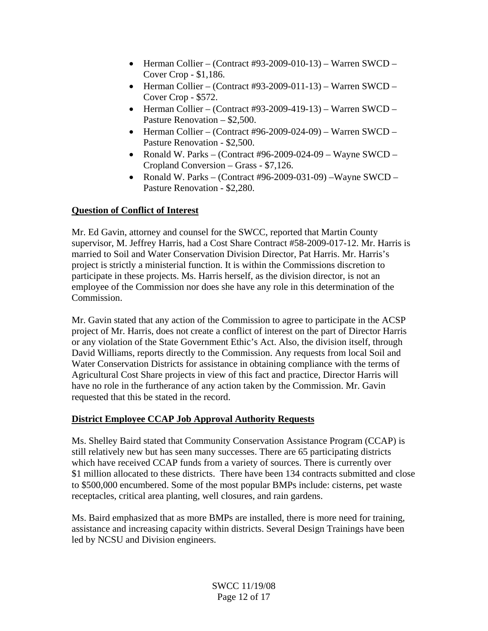- Herman Collier (Contract #93-2009-010-13) Warren SWCD Cover Crop - \$1,186.
- Herman Collier (Contract #93-2009-011-13) Warren SWCD Cover Crop - \$572.
- Herman Collier (Contract #93-2009-419-13) Warren SWCD Pasture Renovation – \$2,500.
- Herman Collier (Contract #96-2009-024-09) Warren SWCD Pasture Renovation - \$2,500.
- Ronald W. Parks (Contract #96-2009-024-09 Wayne SWCD Cropland Conversion – Grass - \$7,126.
- Ronald W. Parks (Contract #96-2009-031-09) Wayne SWCD Pasture Renovation - \$2,280.

# **Question of Conflict of Interest**

Mr. Ed Gavin, attorney and counsel for the SWCC, reported that Martin County supervisor, M. Jeffrey Harris, had a Cost Share Contract #58-2009-017-12. Mr. Harris is married to Soil and Water Conservation Division Director, Pat Harris. Mr. Harris's project is strictly a ministerial function. It is within the Commissions discretion to participate in these projects. Ms. Harris herself, as the division director, is not an employee of the Commission nor does she have any role in this determination of the Commission.

Mr. Gavin stated that any action of the Commission to agree to participate in the ACSP project of Mr. Harris, does not create a conflict of interest on the part of Director Harris or any violation of the State Government Ethic's Act. Also, the division itself, through David Williams, reports directly to the Commission. Any requests from local Soil and Water Conservation Districts for assistance in obtaining compliance with the terms of Agricultural Cost Share projects in view of this fact and practice, Director Harris will have no role in the furtherance of any action taken by the Commission. Mr. Gavin requested that this be stated in the record.

# **District Employee CCAP Job Approval Authority Requests**

Ms. Shelley Baird stated that Community Conservation Assistance Program (CCAP) is still relatively new but has seen many successes. There are 65 participating districts which have received CCAP funds from a variety of sources. There is currently over \$1 million allocated to these districts. There have been 134 contracts submitted and close to \$500,000 encumbered. Some of the most popular BMPs include: cisterns, pet waste receptacles, critical area planting, well closures, and rain gardens.

Ms. Baird emphasized that as more BMPs are installed, there is more need for training, assistance and increasing capacity within districts. Several Design Trainings have been led by NCSU and Division engineers.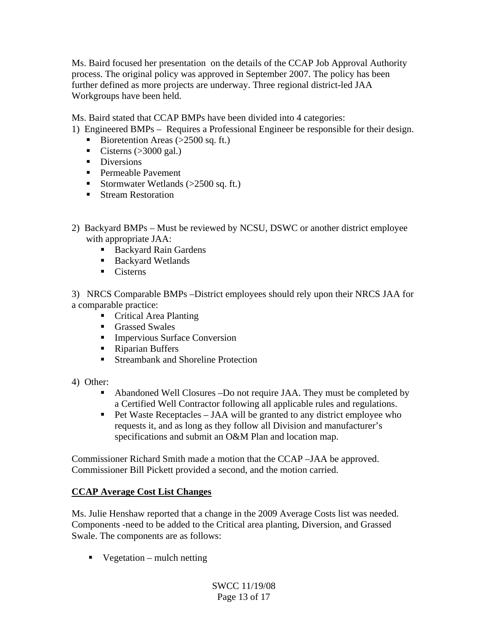Ms. Baird focused her presentation on the details of the CCAP Job Approval Authority process. The original policy was approved in September 2007. The policy has been further defined as more projects are underway. Three regional district-led JAA Workgroups have been held.

Ms. Baird stated that CCAP BMPs have been divided into 4 categories:

1) Engineered BMPs – Requires a Professional Engineer be responsible for their design.

- Bioretention Areas  $(>2500 \text{ sq. ft.})$
- Cisterns  $(>3000 \text{ gal.})$
- **Diversions**
- **Permeable Pavement**
- Stormwater Wetlands  $(>2500 \text{ sq. ft.})$
- **Stream Restoration**
- 2) Backyard BMPs Must be reviewed by NCSU, DSWC or another district employee with appropriate JAA:
	- Backyard Rain Gardens
	- Backyard Wetlands
	- $\blacksquare$  Cisterns

3) NRCS Comparable BMPs –District employees should rely upon their NRCS JAA for a comparable practice:

- Critical Area Planting
- Grassed Swales
- **Impervious Surface Conversion**
- Riparian Buffers
- Streambank and Shoreline Protection
- 4) Other:
	- Abandoned Well Closures –Do not require JAA. They must be completed by a Certified Well Contractor following all applicable rules and regulations.
	- $\blacksquare$  Pet Waste Receptacles JAA will be granted to any district employee who requests it, and as long as they follow all Division and manufacturer's specifications and submit an O&M Plan and location map.

Commissioner Richard Smith made a motion that the CCAP –JAA be approved. Commissioner Bill Pickett provided a second, and the motion carried.

## **CCAP Average Cost List Changes**

Ms. Julie Henshaw reported that a change in the 2009 Average Costs list was needed. Components -need to be added to the Critical area planting, Diversion, and Grassed Swale. The components are as follows:

 $\blacksquare$  Vegetation – mulch netting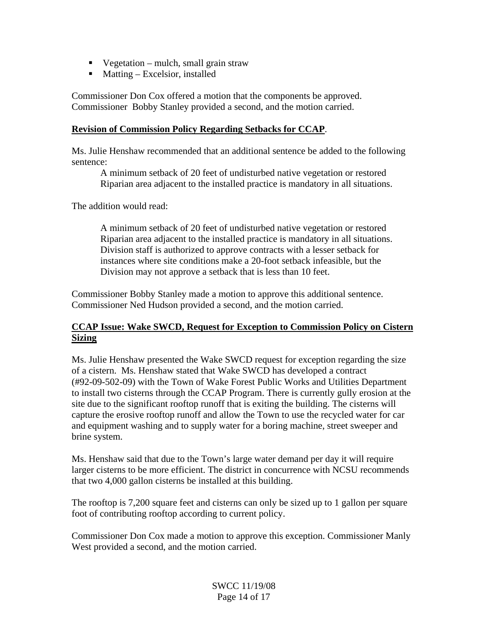- $\blacksquare$  Vegetation mulch, small grain straw
- **Matting Excelsior, installed**

Commissioner Don Cox offered a motion that the components be approved. Commissioner Bobby Stanley provided a second, and the motion carried.

#### **Revision of Commission Policy Regarding Setbacks for CCAP**.

Ms. Julie Henshaw recommended that an additional sentence be added to the following sentence:

 A minimum setback of 20 feet of undisturbed native vegetation or restored Riparian area adjacent to the installed practice is mandatory in all situations.

The addition would read:

 A minimum setback of 20 feet of undisturbed native vegetation or restored Riparian area adjacent to the installed practice is mandatory in all situations. Division staff is authorized to approve contracts with a lesser setback for instances where site conditions make a 20-foot setback infeasible, but the Division may not approve a setback that is less than 10 feet.

Commissioner Bobby Stanley made a motion to approve this additional sentence. Commissioner Ned Hudson provided a second, and the motion carried.

## **CCAP Issue: Wake SWCD, Request for Exception to Commission Policy on Cistern Sizing**

Ms. Julie Henshaw presented the Wake SWCD request for exception regarding the size of a cistern. Ms. Henshaw stated that Wake SWCD has developed a contract (#92-09-502-09) with the Town of Wake Forest Public Works and Utilities Department to install two cisterns through the CCAP Program. There is currently gully erosion at the site due to the significant rooftop runoff that is exiting the building. The cisterns will capture the erosive rooftop runoff and allow the Town to use the recycled water for car and equipment washing and to supply water for a boring machine, street sweeper and brine system.

Ms. Henshaw said that due to the Town's large water demand per day it will require larger cisterns to be more efficient. The district in concurrence with NCSU recommends that two 4,000 gallon cisterns be installed at this building.

The rooftop is 7,200 square feet and cisterns can only be sized up to 1 gallon per square foot of contributing rooftop according to current policy.

Commissioner Don Cox made a motion to approve this exception. Commissioner Manly West provided a second, and the motion carried.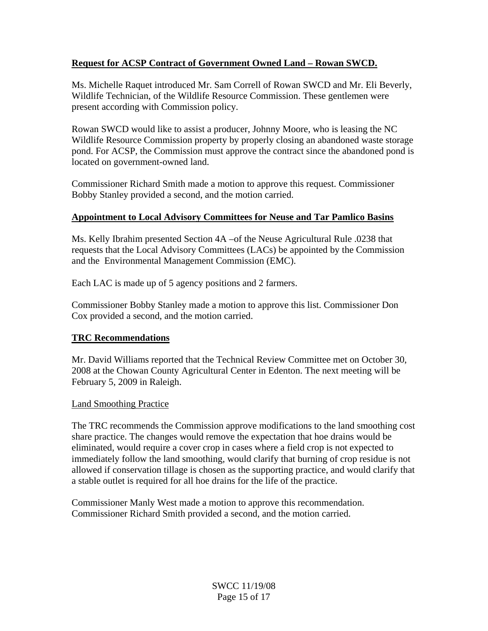## **Request for ACSP Contract of Government Owned Land – Rowan SWCD.**

Ms. Michelle Raquet introduced Mr. Sam Correll of Rowan SWCD and Mr. Eli Beverly, Wildlife Technician, of the Wildlife Resource Commission. These gentlemen were present according with Commission policy.

Rowan SWCD would like to assist a producer, Johnny Moore, who is leasing the NC Wildlife Resource Commission property by properly closing an abandoned waste storage pond. For ACSP, the Commission must approve the contract since the abandoned pond is located on government-owned land.

Commissioner Richard Smith made a motion to approve this request. Commissioner Bobby Stanley provided a second, and the motion carried.

## **Appointment to Local Advisory Committees for Neuse and Tar Pamlico Basins**

Ms. Kelly Ibrahim presented Section 4A –of the Neuse Agricultural Rule .0238 that requests that the Local Advisory Committees (LACs) be appointed by the Commission and the Environmental Management Commission (EMC).

Each LAC is made up of 5 agency positions and 2 farmers.

Commissioner Bobby Stanley made a motion to approve this list. Commissioner Don Cox provided a second, and the motion carried.

## **TRC Recommendations**

Mr. David Williams reported that the Technical Review Committee met on October 30, 2008 at the Chowan County Agricultural Center in Edenton. The next meeting will be February 5, 2009 in Raleigh.

## Land Smoothing Practice

The TRC recommends the Commission approve modifications to the land smoothing cost share practice. The changes would remove the expectation that hoe drains would be eliminated, would require a cover crop in cases where a field crop is not expected to immediately follow the land smoothing, would clarify that burning of crop residue is not allowed if conservation tillage is chosen as the supporting practice, and would clarify that a stable outlet is required for all hoe drains for the life of the practice.

Commissioner Manly West made a motion to approve this recommendation. Commissioner Richard Smith provided a second, and the motion carried.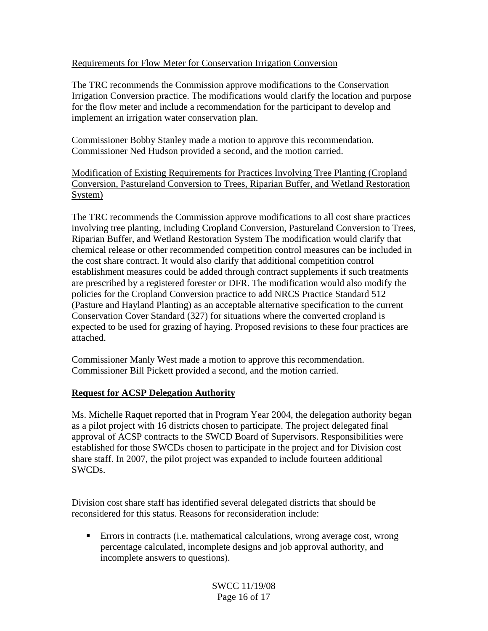## Requirements for Flow Meter for Conservation Irrigation Conversion

The TRC recommends the Commission approve modifications to the Conservation Irrigation Conversion practice. The modifications would clarify the location and purpose for the flow meter and include a recommendation for the participant to develop and implement an irrigation water conservation plan.

Commissioner Bobby Stanley made a motion to approve this recommendation. Commissioner Ned Hudson provided a second, and the motion carried.

Modification of Existing Requirements for Practices Involving Tree Planting (Cropland Conversion, Pastureland Conversion to Trees, Riparian Buffer, and Wetland Restoration System)

The TRC recommends the Commission approve modifications to all cost share practices involving tree planting, including Cropland Conversion, Pastureland Conversion to Trees, Riparian Buffer, and Wetland Restoration System The modification would clarify that chemical release or other recommended competition control measures can be included in the cost share contract. It would also clarify that additional competition control establishment measures could be added through contract supplements if such treatments are prescribed by a registered forester or DFR. The modification would also modify the policies for the Cropland Conversion practice to add NRCS Practice Standard 512 (Pasture and Hayland Planting) as an acceptable alternative specification to the current Conservation Cover Standard (327) for situations where the converted cropland is expected to be used for grazing of haying. Proposed revisions to these four practices are attached.

Commissioner Manly West made a motion to approve this recommendation. Commissioner Bill Pickett provided a second, and the motion carried.

## **Request for ACSP Delegation Authority**

Ms. Michelle Raquet reported that in Program Year 2004, the delegation authority began as a pilot project with 16 districts chosen to participate. The project delegated final approval of ACSP contracts to the SWCD Board of Supervisors. Responsibilities were established for those SWCDs chosen to participate in the project and for Division cost share staff. In 2007, the pilot project was expanded to include fourteen additional SWCDs.

Division cost share staff has identified several delegated districts that should be reconsidered for this status. Reasons for reconsideration include:

 Errors in contracts (i.e. mathematical calculations, wrong average cost, wrong percentage calculated, incomplete designs and job approval authority, and incomplete answers to questions).